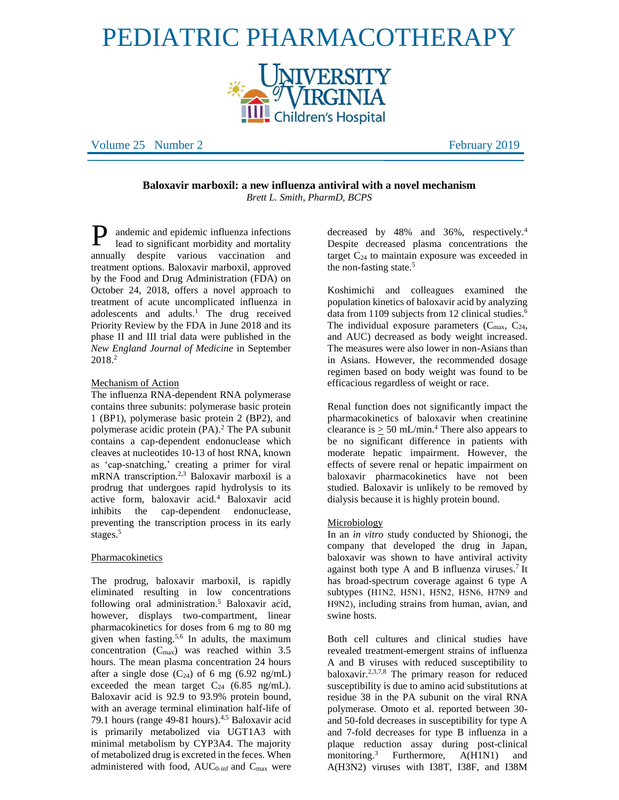# PEDIATRIC PHARMACOTHERAPY |NIVERSITY<br><sup>?|</sup>VIRGINIA

**Children's Hospital** 

Volume 25 Number 2 February 2019

**Baloxavir marboxil: a new influenza antiviral with a novel mechanism** *Brett L. Smith, PharmD, BCPS*

andemic and epidemic influenza infections lead to significant morbidity and mortality annually despite various vaccination and treatment options. Baloxavir marboxil, approved by the Food and Drug Administration (FDA) on October 24, 2018, offers a novel approach to treatment of acute uncomplicated influenza in adolescents and adults.<sup>1</sup> The drug received Priority Review by the FDA in June 2018 and its phase II and III trial data were published in the *New England Journal of Medicine* in September 2018.<sup>2</sup> P

# Mechanism of Action

The influenza RNA-dependent RNA polymerase contains three subunits: polymerase basic protein 1 (BP1), polymerase basic protein 2 (BP2), and polymerase acidic protein (PA).<sup>2</sup> The PA subunit contains a cap-dependent endonuclease which cleaves at nucleotides 10-13 of host RNA, known as 'cap-snatching,' creating a primer for viral mRNA transcription. 2,3 Baloxavir marboxil is a prodrug that undergoes rapid hydrolysis to its active form, baloxavir acid.<sup>4</sup> Baloxavir acid inhibits the cap-dependent endonuclease, preventing the transcription process in its early stages.<sup>5</sup>

# Pharmacokinetics

The prodrug, baloxavir marboxil, is rapidly eliminated resulting in low concentrations following oral administration. <sup>5</sup> Baloxavir acid, however, displays two-compartment, linear pharmacokinetics for doses from 6 mg to 80 mg given when fasting.5,6 In adults, the maximum concentration  $(C_{\text{max}})$  was reached within 3.5 hours. The mean plasma concentration 24 hours after a single dose  $(C_{24})$  of 6 mg (6.92 ng/mL) exceeded the mean target  $C_{24}$  (6.85 ng/mL). Baloxavir acid is 92.9 to 93.9% protein bound, with an average terminal elimination half-life of 79.1 hours (range 49-81 hours). 4,5 Baloxavir acid is primarily metabolized via UGT1A3 with minimal metabolism by CYP3A4. The majority of metabolized drug is excreted in the feces. When administered with food, AUC<sub>0-inf</sub> and C<sub>max</sub> were

decreased by 48% and 36%, respectively.<sup>4</sup> Despite decreased plasma concentrations the target  $C_{24}$  to maintain exposure was exceeded in the non-fasting state. 5

Koshimichi and colleagues examined the population kinetics of baloxavir acid by analyzing data from 1109 subjects from 12 clinical studies.<sup>6</sup> The individual exposure parameters  $(C_{\text{max}}, C_{24},$ and AUC) decreased as body weight increased. The measures were also lower in non-Asians than in Asians. However, the recommended dosage regimen based on body weight was found to be efficacious regardless of weight or race.

Renal function does not significantly impact the pharmacokinetics of baloxavir when creatinine clearance is  $\geq 50$  mL/min.<sup>4</sup> There also appears to be no significant difference in patients with moderate hepatic impairment. However, the effects of severe renal or hepatic impairment on baloxavir pharmacokinetics have not been studied. Baloxavir is unlikely to be removed by dialysis because it is highly protein bound.

# Microbiology

In an *in vitro* study conducted by Shionogi, the company that developed the drug in Japan, baloxavir was shown to have antiviral activity against both type A and B influenza viruses.<sup>7</sup> It has broad-spectrum coverage against 6 type A subtypes (H1N2, H5N1, H5N2, H5N6, H7N9 and H9N2), including strains from human, avian, and swine hosts.

Both cell cultures and clinical studies have revealed treatment-emergent strains of influenza A and B viruses with reduced susceptibility to baloxavir.2,3,7,8 The primary reason for reduced susceptibility is due to amino acid substitutions at residue 38 in the PA subunit on the viral RNA polymerase. Omoto et al. reported between 30 and 50-fold decreases in susceptibility for type A and 7-fold decreases for type B influenza in a plaque reduction assay during post-clinical monitoring.<sup>3</sup> Furthermore, A(H1N1) and A(H3N2) viruses with I38T, I38F, and I38M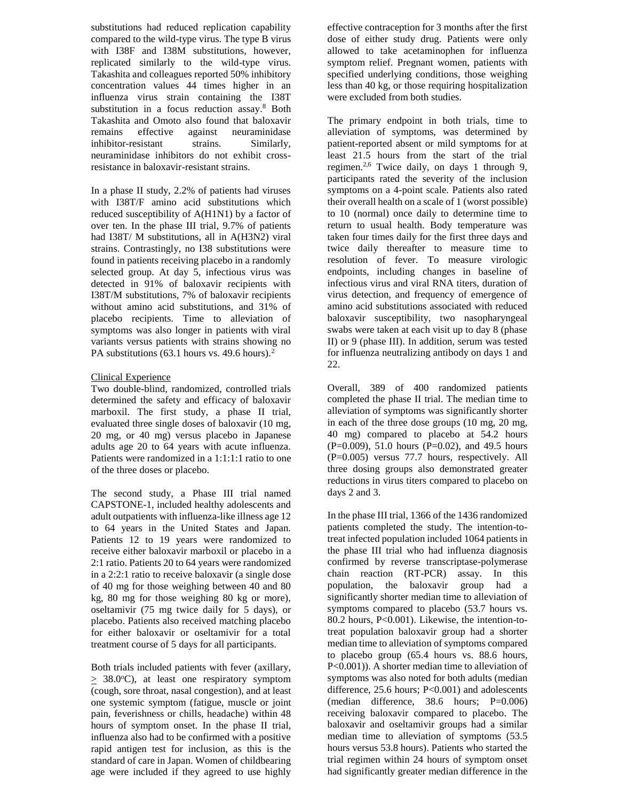substitutions had reduced replication capability compared to the wild-type virus. The type B virus with I38F and I38M substitutions, however, replicated similarly to the wild-type virus. Takashita and colleagues reported 50% inhibitory concentration values 44 times higher in an influenza virus strain containing the I38T substitution in a focus reduction assay.<sup>8</sup> Both Takashita and Omoto also found that baloxavir remains effective against neuraminidase inhibitor-resistant strains. Similarly, neuraminidase inhibitors do not exhibit crossresistance in baloxavir-resistant strains.

In a phase II study, 2.2% of patients had viruses with I38T/F amino acid substitutions which reduced susceptibility of A(H1N1) by a factor of over ten. In the phase III trial, 9.7% of patients had I38T/ M substitutions, all in A(H3N2) viral strains. Contrastingly, no I38 substitutions were found in patients receiving placebo in a randomly selected group. At day 5, infectious virus was detected in 91% of baloxavir recipients with I38T/M substitutions, 7% of baloxavir recipients without amino acid substitutions, and 31% of placebo recipients. Time to alleviation of symptoms was also longer in patients with viral variants versus patients with strains showing no PA substitutions  $(63.1$  hours vs. 49.6 hours).<sup>2</sup>

# Clinical Experience

Two double-blind, randomized, controlled trials determined the safety and efficacy of baloxavir marboxil. The first study, a phase II trial, evaluated three single doses of baloxavir (10 mg, 20 mg, or 40 mg) versus placebo in Japanese adults age 20 to 64 years with acute influenza. Patients were randomized in a 1:1:1:1 ratio to one of the three doses or placebo.

The second study, a Phase III trial named CAPSTONE-1, included healthy adolescents and adult outpatients with influenza-like illness age 12 to 64 years in the United States and Japan. Patients 12 to 19 years were randomized to receive either baloxavir marboxil or placebo in a 2:1 ratio. Patients 20 to 64 years were randomized in a 2:2:1 ratio to receive baloxavir (a single dose of 40 mg for those weighing between 40 and 80 kg, 80 mg for those weighing 80 kg or more), oseltamivir (75 mg twice daily for 5 days), or placebo. Patients also received matching placebo for either baloxavir or oseltamivir for a total treatment course of 5 days for all participants.

Both trials included patients with fever (axillary,  $> 38.0^{\circ}$ C), at least one respiratory symptom (cough, sore throat, nasal congestion), and at least one systemic symptom (fatigue, muscle or joint pain, feverishness or chills, headache) within 48 hours of symptom onset. In the phase II trial, influenza also had to be confirmed with a positive rapid antigen test for inclusion, as this is the standard of care in Japan. Women of childbearing age were included if they agreed to use highly

effective contraception for 3 months after the first dose of either study drug. Patients were only allowed to take acetaminophen for influenza symptom relief. Pregnant women, patients with specified underlying conditions, those weighing less than 40 kg, or those requiring hospitalization were excluded from both studies.

The primary endpoint in both trials, time to alleviation of symptoms, was determined by patient-reported absent or mild symptoms for at least 21.5 hours from the start of the trial regimen.<sup>2,6</sup> Twice daily, on days 1 through 9, participants rated the severity of the inclusion symptoms on a 4-point scale. Patients also rated their overall health on a scale of 1 (worst possible) to 10 (normal) once daily to determine time to return to usual health. Body temperature was taken four times daily for the first three days and twice daily thereafter to measure time to resolution of fever. To measure virologic endpoints, including changes in baseline of infectious virus and viral RNA titers, duration of virus detection, and frequency of emergence of amino acid substitutions associated with reduced baloxavir susceptibility, two nasopharyngeal swabs were taken at each visit up to day 8 (phase II) or 9 (phase III). In addition, serum was tested for influenza neutralizing antibody on days 1 and 22.

Overall, 389 of 400 randomized patients completed the phase II trial. The median time to alleviation of symptoms was significantly shorter in each of the three dose groups (10 mg, 20 mg, 40 mg) compared to placebo at 54.2 hours  $(P=0.009)$ , 51.0 hours  $(P=0.02)$ , and 49.5 hours (P=0.005) versus 77.7 hours, respectively. All three dosing groups also demonstrated greater reductions in virus titers compared to placebo on days 2 and 3.

In the phase III trial, 1366 of the 1436 randomized patients completed the study. The intention-totreat infected population included 1064 patients in the phase III trial who had influenza diagnosis confirmed by reverse transcriptase-polymerase chain reaction (RT-PCR) assay. In this population, the baloxavir group had a significantly shorter median time to alleviation of symptoms compared to placebo (53.7 hours vs. 80.2 hours, P<0.001). Likewise, the intention-totreat population baloxavir group had a shorter median time to alleviation of symptoms compared to placebo group (65.4 hours vs. 88.6 hours, P<0.001)). A shorter median time to alleviation of symptoms was also noted for both adults (median difference, 25.6 hours; P<0.001) and adolescents  $(median$  difference, 38.6 hours; P=0.006) receiving baloxavir compared to placebo. The baloxavir and oseltamivir groups had a similar median time to alleviation of symptoms (53.5 hours versus 53.8 hours). Patients who started the trial regimen within 24 hours of symptom onset had significantly greater median difference in the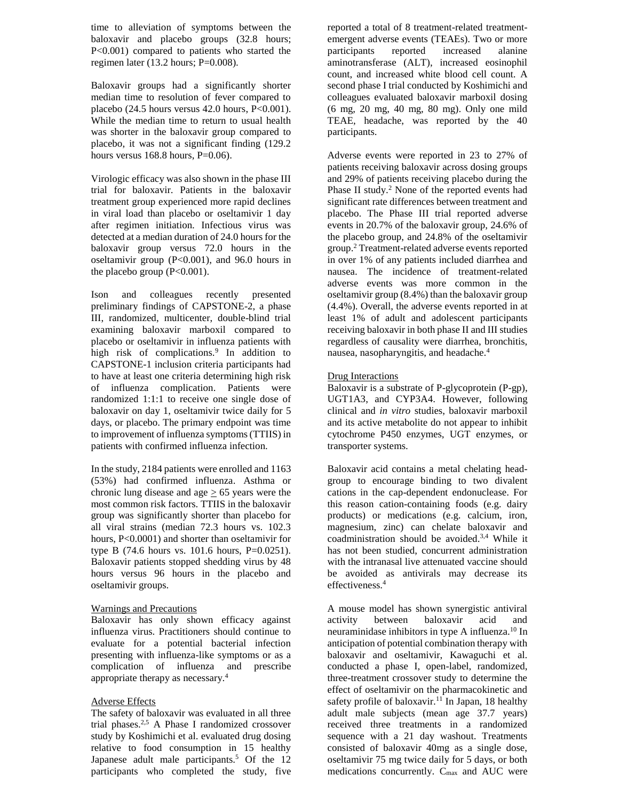time to alleviation of symptoms between the baloxavir and placebo groups (32.8 hours; P<0.001) compared to patients who started the regimen later (13.2 hours; P=0.008).

Baloxavir groups had a significantly shorter median time to resolution of fever compared to placebo  $(24.5 \text{ hours} \times 42.0 \text{ hours}, P<0.001)$ . While the median time to return to usual health was shorter in the baloxavir group compared to placebo, it was not a significant finding (129.2 hours versus  $168.8$  hours,  $P=0.06$ ).

Virologic efficacy was also shown in the phase III trial for baloxavir. Patients in the baloxavir treatment group experienced more rapid declines in viral load than placebo or oseltamivir 1 day after regimen initiation. Infectious virus was detected at a median duration of 24.0 hours for the baloxavir group versus 72.0 hours in the oseltamivir group (P<0.001), and 96.0 hours in the placebo group  $(P<0.001)$ .

Ison and colleagues recently presented preliminary findings of CAPSTONE-2, a phase III, randomized, multicenter, double-blind trial examining baloxavir marboxil compared to placebo or oseltamivir in influenza patients with high risk of complications.<sup>9</sup> In addition to CAPSTONE-1 inclusion criteria participants had to have at least one criteria determining high risk of influenza complication. Patients were randomized 1:1:1 to receive one single dose of baloxavir on day 1, oseltamivir twice daily for 5 days, or placebo. The primary endpoint was time to improvement of influenza symptoms (TTIIS) in patients with confirmed influenza infection.

In the study, 2184 patients were enrolled and 1163 (53%) had confirmed influenza. Asthma or chronic lung disease and age  $\geq$  65 years were the most common risk factors. TTIIS in the baloxavir group was significantly shorter than placebo for all viral strains (median 72.3 hours vs. 102.3 hours, P<0.0001) and shorter than oseltamivir for type B (74.6 hours vs. 101.6 hours, P=0.0251). Baloxavir patients stopped shedding virus by 48 hours versus 96 hours in the placebo and oseltamivir groups.

# Warnings and Precautions

Baloxavir has only shown efficacy against influenza virus. Practitioners should continue to evaluate for a potential bacterial infection presenting with influenza-like symptoms or as a complication of influenza and prescribe appropriate therapy as necessary.<sup>4</sup>

# Adverse Effects

The safety of baloxavir was evaluated in all three trial phases.2,5 A Phase I randomized crossover study by Koshimichi et al. evaluated drug dosing relative to food consumption in 15 healthy Japanese adult male participants.<sup>5</sup> Of the 12 participants who completed the study, five

reported a total of 8 treatment-related treatmentemergent adverse events (TEAEs). Two or more participants reported increased alanine aminotransferase (ALT), increased eosinophil count, and increased white blood cell count. A second phase I trial conducted by Koshimichi and colleagues evaluated baloxavir marboxil dosing (6 mg, 20 mg, 40 mg, 80 mg). Only one mild TEAE, headache, was reported by the 40 participants.

Adverse events were reported in 23 to 27% of patients receiving baloxavir across dosing groups and 29% of patients receiving placebo during the Phase II study.<sup>2</sup> None of the reported events had significant rate differences between treatment and placebo. The Phase III trial reported adverse events in 20.7% of the baloxavir group, 24.6% of the placebo group, and 24.8% of the oseltamivir group.<sup>2</sup> Treatment-related adverse events reported in over 1% of any patients included diarrhea and nausea. The incidence of treatment-related adverse events was more common in the oseltamivir group (8.4%) than the baloxavir group (4.4%). Overall, the adverse events reported in at least 1% of adult and adolescent participants receiving baloxavir in both phase II and III studies regardless of causality were diarrhea, bronchitis, nausea, nasopharyngitis, and headache.<sup>4</sup>

#### Drug Interactions

Baloxavir is a substrate of P-glycoprotein (P-gp), UGT1A3, and CYP3A4. However, following clinical and *in vitro* studies, baloxavir marboxil and its active metabolite do not appear to inhibit cytochrome P450 enzymes, UGT enzymes, or transporter systems.

Baloxavir acid contains a metal chelating headgroup to encourage binding to two divalent cations in the cap-dependent endonuclease. For this reason cation-containing foods (e.g. dairy products) or medications (e.g. calcium, iron, magnesium, zinc) can chelate baloxavir and coadministration should be avoided.3,4 While it has not been studied, concurrent administration with the intranasal live attenuated vaccine should be avoided as antivirals may decrease its effectiveness.<sup>4</sup>

A mouse model has shown synergistic antiviral activity between baloxavir acid and neuraminidase inhibitors in type A influenza.<sup>10</sup> In anticipation of potential combination therapy with baloxavir and oseltamivir, Kawaguchi et al. conducted a phase I, open-label, randomized, three-treatment crossover study to determine the effect of oseltamivir on the pharmacokinetic and safety profile of baloxavir.<sup>11</sup> In Japan, 18 healthy adult male subjects (mean age 37.7 years) received three treatments in a randomized sequence with a 21 day washout. Treatments consisted of baloxavir 40mg as a single dose, oseltamivir 75 mg twice daily for 5 days, or both medications concurrently.  $C_{\text{max}}$  and AUC were